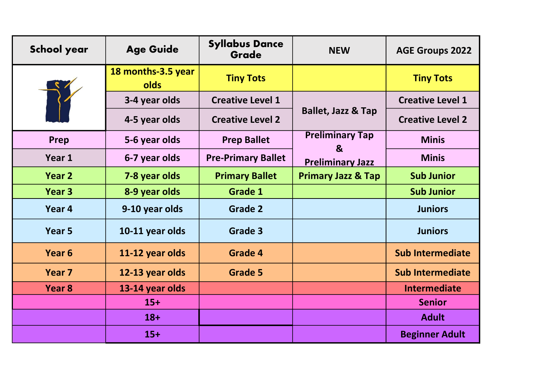| <b>School year</b> | <b>Age Guide</b>                  | <b>Syllabus Dance</b><br>Grade | <b>NEW</b>                    | <b>AGE Groups 2022</b>  |
|--------------------|-----------------------------------|--------------------------------|-------------------------------|-------------------------|
|                    | 18 months-3.5 year<br><b>olds</b> | <b>Tiny Tots</b>               |                               | <b>Tiny Tots</b>        |
|                    | 3-4 year olds                     | <b>Creative Level 1</b>        |                               | <b>Creative Level 1</b> |
|                    | 4-5 year olds                     | <b>Creative Level 2</b>        | <b>Ballet, Jazz &amp; Tap</b> | <b>Creative Level 2</b> |
| Prep               | 5-6 year olds                     | <b>Prep Ballet</b>             | <b>Preliminary Tap</b><br>&   | <b>Minis</b>            |
| Year 1             | 6-7 year olds                     | <b>Pre-Primary Ballet</b>      | <b>Preliminary Jazz</b>       | <b>Minis</b>            |
| Year 2             | 7-8 year olds                     | <b>Primary Ballet</b>          | <b>Primary Jazz &amp; Tap</b> | <b>Sub Junior</b>       |
| Year 3             | 8-9 year olds                     | <b>Grade 1</b>                 |                               | <b>Sub Junior</b>       |
| Year 4             | 9-10 year olds                    | <b>Grade 2</b>                 |                               | <b>Juniors</b>          |
| Year <sub>5</sub>  | 10-11 year olds                   | Grade 3                        |                               | <b>Juniors</b>          |
| Year <sub>6</sub>  | 11-12 year olds                   | Grade 4                        |                               | <b>Sub Intermediate</b> |
| Year 7             | 12-13 year olds                   | <b>Grade 5</b>                 |                               | <b>Sub Intermediate</b> |
| Year <sub>8</sub>  | 13-14 year olds                   |                                |                               | <b>Intermediate</b>     |
|                    | $15+$                             |                                |                               | <b>Senior</b>           |
|                    | $18+$                             |                                |                               | <b>Adult</b>            |
|                    | $15+$                             |                                |                               | <b>Beginner Adult</b>   |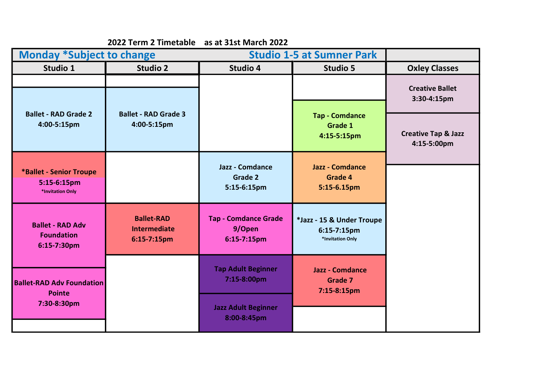|                                                                   | 2022 Term 2 Timetable                                      | as at 31st March 2022                                |                                                              |                                               |
|-------------------------------------------------------------------|------------------------------------------------------------|------------------------------------------------------|--------------------------------------------------------------|-----------------------------------------------|
| <b>Monday *Subject to change</b>                                  |                                                            | <b>Studio 1-5 at Sumner Park</b>                     |                                                              |                                               |
| Studio 1                                                          | <b>Studio 2</b>                                            | Studio 4                                             | <b>Studio 5</b>                                              | <b>Oxley Classes</b>                          |
|                                                                   |                                                            |                                                      |                                                              | <b>Creative Ballet</b><br>3:30-4:15pm         |
| <b>Ballet - RAD Grade 2</b><br>4:00-5:15pm                        | <b>Ballet - RAD Grade 3</b><br>4:00-5:15pm                 |                                                      | <b>Tap - Comdance</b><br>Grade 1<br>4:15-5:15pm              | <b>Creative Tap &amp; Jazz</b><br>4:15-5:00pm |
| <b>*Ballet - Senior Troupe</b><br>5:15-6:15pm<br>*Invitation Only |                                                            | <b>Jazz - Comdance</b><br>Grade 2<br>5:15-6:15pm     | <b>Jazz - Comdance</b><br>Grade 4<br>5:15-6.15pm             |                                               |
| <b>Ballet - RAD Adv</b><br><b>Foundation</b><br>6:15-7:30pm       | <b>Ballet-RAD</b><br><b>Intermediate</b><br>$6:15-7:15$ pm | <b>Tap - Comdance Grade</b><br>9/Open<br>6:15-7:15pm | *Jazz - 15 & Under Troupe<br>6:15-7:15pm<br>*Invitation Only |                                               |
| <b>Ballet-RAD Adv Foundation</b><br><b>Pointe</b>                 |                                                            | <b>Tap Adult Beginner</b><br>7:15-8:00pm             | <b>Jazz - Comdance</b><br><b>Grade 7</b><br>7:15-8:15pm      |                                               |
| 7:30-8:30pm                                                       |                                                            | <b>Jazz Adult Beginner</b><br>8:00-8:45pm            |                                                              |                                               |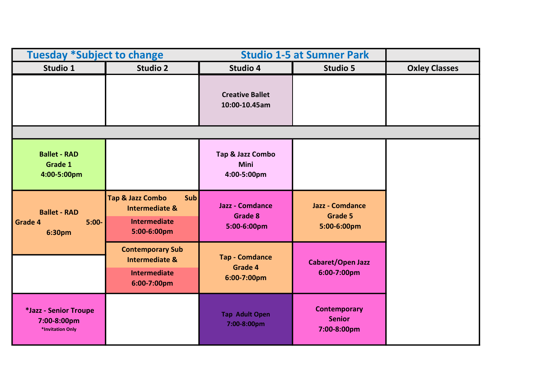| <b>Tuesday *Subject to change</b>                           |                                                                                                       | <b>Studio 1-5 at Sumner Park</b>                        |                                                         |                      |
|-------------------------------------------------------------|-------------------------------------------------------------------------------------------------------|---------------------------------------------------------|---------------------------------------------------------|----------------------|
| Studio 1                                                    | <b>Studio 2</b>                                                                                       | <b>Studio 4</b>                                         | Studio 5                                                | <b>Oxley Classes</b> |
|                                                             |                                                                                                       | <b>Creative Ballet</b><br>10:00-10.45am                 |                                                         |                      |
|                                                             |                                                                                                       |                                                         |                                                         |                      |
| <b>Ballet - RAD</b><br>Grade 1<br>4:00-5:00pm               |                                                                                                       | Tap & Jazz Combo<br><b>Mini</b><br>4:00-5:00pm          |                                                         |                      |
| <b>Ballet - RAD</b><br><b>Grade 4</b><br>$5:00 -$<br>6:30pm | <b>Tap &amp; Jazz Combo</b><br>Sub<br><b>Intermediate &amp;</b><br><b>Intermediate</b><br>5:00-6:00pm | <b>Jazz - Comdance</b><br><b>Grade 8</b><br>5:00-6:00pm | <b>Jazz - Comdance</b><br><b>Grade 5</b><br>5:00-6:00pm |                      |
|                                                             | <b>Contemporary Sub</b><br><b>Intermediate &amp;</b><br><b>Intermediate</b><br>6:00-7:00pm            | <b>Tap - Comdance</b><br>Grade 4<br>6:00-7:00pm         | <b>Cabaret/Open Jazz</b><br>6:00-7:00pm                 |                      |
| *Jazz - Senior Troupe<br>7:00-8:00pm<br>*Invitation Only    |                                                                                                       | <b>Tap Adult Open</b><br>7:00-8:00pm                    | <b>Contemporary</b><br><b>Senior</b><br>7:00-8:00pm     |                      |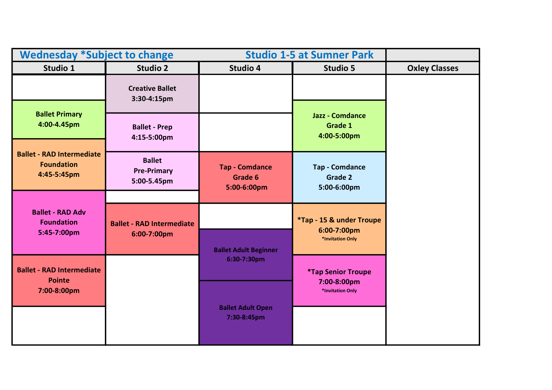| <b>Wednesday *Subject to change</b>                                  |                                                    | <b>Studio 1-5 at Sumner Park</b>                |                                                         |                      |
|----------------------------------------------------------------------|----------------------------------------------------|-------------------------------------------------|---------------------------------------------------------|----------------------|
| Studio 1                                                             | <b>Studio 2</b>                                    | Studio 4                                        | Studio 5                                                | <b>Oxley Classes</b> |
|                                                                      | <b>Creative Ballet</b><br>3:30-4:15pm              |                                                 |                                                         |                      |
| <b>Ballet Primary</b><br>4:00-4.45pm                                 | <b>Ballet - Prep</b><br>4:15-5:00pm                |                                                 | <b>Jazz - Comdance</b><br><b>Grade 1</b><br>4:00-5:00pm |                      |
| <b>Ballet - RAD Intermediate</b><br><b>Foundation</b><br>4:45-5:45pm | <b>Ballet</b><br><b>Pre-Primary</b><br>5:00-5.45pm | <b>Tap - Comdance</b><br>Grade 6<br>5:00-6:00pm | <b>Tap - Comdance</b><br><b>Grade 2</b><br>5:00-6:00pm  |                      |
| <b>Ballet - RAD Adv</b><br><b>Foundation</b>                         | <b>Ballet - RAD Intermediate</b>                   |                                                 | *Tap - 15 & under Troupe<br>6:00-7:00pm                 |                      |
| 5:45-7:00pm                                                          | 6:00-7:00pm                                        | <b>Ballet Adult Beginner</b>                    | *Invitation Only                                        |                      |
| <b>Ballet - RAD Intermediate</b><br><b>Pointe</b>                    |                                                    | 6:30-7:30pm                                     | <i><b>*Tap Senior Troupe</b></i>                        |                      |
| 7:00-8:00pm                                                          |                                                    | <b>Ballet Adult Open</b>                        | 7:00-8:00pm<br>*Invitation Only                         |                      |
|                                                                      |                                                    | 7:30-8:45pm                                     |                                                         |                      |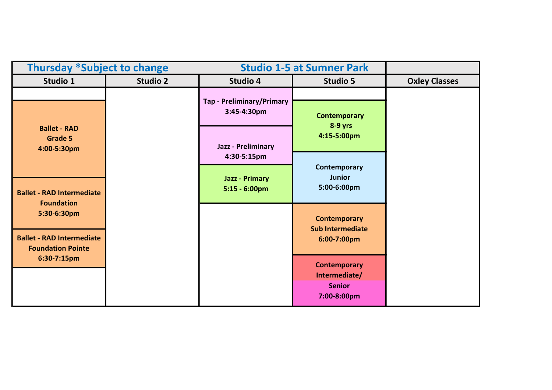| <b>Thursday *Subject to change</b>                                                                                                   |                 |                                           | <b>Studio 1-5 at Sumner Park</b>                                     |                      |
|--------------------------------------------------------------------------------------------------------------------------------------|-----------------|-------------------------------------------|----------------------------------------------------------------------|----------------------|
| Studio 1                                                                                                                             | <b>Studio 2</b> | <b>Studio 4</b>                           | Studio 5                                                             | <b>Oxley Classes</b> |
|                                                                                                                                      |                 | Tap - Preliminary/Primary<br>3:45-4:30pm  | <b>Contemporary</b>                                                  |                      |
| <b>Ballet - RAD</b><br><b>Grade 5</b><br>4:00-5:30pm                                                                                 |                 | <b>Jazz - Preliminary</b><br>4:30-5:15pm  | $8-9$ yrs<br>4:15-5:00pm                                             |                      |
| <b>Ballet - RAD Intermediate</b><br><b>Foundation</b><br>5:30-6:30pm<br><b>Ballet - RAD Intermediate</b><br><b>Foundation Pointe</b> |                 | <b>Jazz - Primary</b><br>$5:15 - 6:00$ pm | Contemporary<br><b>Junior</b><br>5:00-6:00pm                         |                      |
|                                                                                                                                      |                 |                                           | <b>Contemporary</b><br><b>Sub Intermediate</b><br>6:00-7:00pm        |                      |
| 6:30-7:15pm                                                                                                                          |                 |                                           | <b>Contemporary</b><br>Intermediate/<br><b>Senior</b><br>7:00-8:00pm |                      |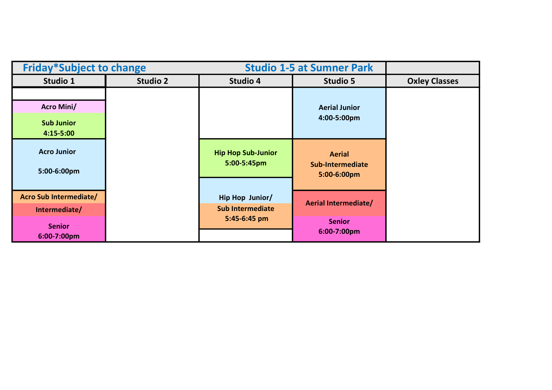| <b>Friday*Subject to change</b>                                         |                 |                                                            | <b>Studio 1-5 at Sumner Park</b>                     |                      |
|-------------------------------------------------------------------------|-----------------|------------------------------------------------------------|------------------------------------------------------|----------------------|
| Studio 1                                                                | <b>Studio 2</b> | <b>Studio 4</b>                                            | Studio 5                                             | <b>Oxley Classes</b> |
| <b>Acro Mini/</b><br><b>Sub Junior</b><br>$4:15 - 5:00$                 |                 |                                                            | <b>Aerial Junior</b><br>4:00-5:00pm                  |                      |
| <b>Acro Junior</b><br>5:00-6:00pm                                       |                 | <b>Hip Hop Sub-Junior</b><br>5:00-5:45pm                   | <b>Aerial</b><br>Sub-Intermediate<br>5:00-6:00pm     |                      |
| Acro Sub Intermediate/<br>Intermediate/<br><b>Senior</b><br>6:00-7:00pm |                 | Hip Hop Junior/<br><b>Sub Intermediate</b><br>5:45-6:45 pm | Aerial Intermediate/<br><b>Senior</b><br>6:00-7:00pm |                      |